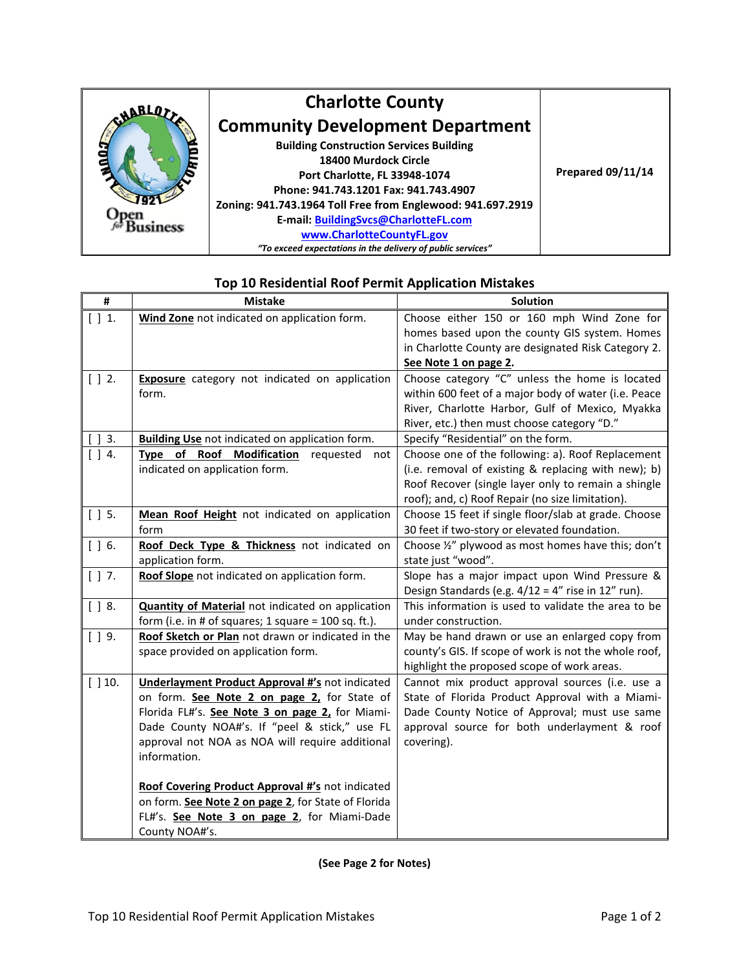

| #           | <b>Mistake</b>                                                                                        | Solution                                                                                           |
|-------------|-------------------------------------------------------------------------------------------------------|----------------------------------------------------------------------------------------------------|
| [ ] 1.      | Wind Zone not indicated on application form.                                                          | Choose either 150 or 160 mph Wind Zone for                                                         |
|             |                                                                                                       | homes based upon the county GIS system. Homes                                                      |
|             |                                                                                                       | in Charlotte County are designated Risk Category 2.                                                |
|             |                                                                                                       | See Note 1 on page 2.                                                                              |
| $[$ $]$ 2.  | <b>Exposure</b> category not indicated on application                                                 | Choose category "C" unless the home is located                                                     |
|             | form.                                                                                                 | within 600 feet of a major body of water (i.e. Peace                                               |
|             |                                                                                                       | River, Charlotte Harbor, Gulf of Mexico, Myakka                                                    |
|             |                                                                                                       | River, etc.) then must choose category "D."                                                        |
| $\vert$ 3.  | <b>Building Use</b> not indicated on application form.                                                | Specify "Residential" on the form.                                                                 |
| $[$ $]$ 4.  | Type of Roof Modification<br>requested<br>not                                                         | Choose one of the following: a). Roof Replacement                                                  |
|             | indicated on application form.                                                                        | (i.e. removal of existing & replacing with new); b)                                                |
|             |                                                                                                       | Roof Recover (single layer only to remain a shingle                                                |
|             |                                                                                                       | roof); and, c) Roof Repair (no size limitation).                                                   |
| $[$ $]$ 5.  | Mean Roof Height not indicated on application                                                         | Choose 15 feet if single floor/slab at grade. Choose                                               |
|             | form                                                                                                  | 30 feet if two-story or elevated foundation.                                                       |
| $[$ $]$ 6.  | Roof Deck Type & Thickness not indicated on                                                           | Choose 1/2" plywood as most homes have this; don't                                                 |
|             | application form.                                                                                     | state just "wood".                                                                                 |
| $[$ $]$ 7.  | Roof Slope not indicated on application form.                                                         | Slope has a major impact upon Wind Pressure &                                                      |
|             |                                                                                                       | Design Standards (e.g. $4/12 = 4$ " rise in 12" run).                                              |
| $[$ $]$ 8.  | <b>Quantity of Material</b> not indicated on application                                              | This information is used to validate the area to be                                                |
|             | form (i.e. in # of squares; 1 square = $100$ sq. ft.).                                                | under construction.                                                                                |
| $[$ $]$ 9.  | Roof Sketch or Plan not drawn or indicated in the                                                     | May be hand drawn or use an enlarged copy from                                                     |
|             | space provided on application form.                                                                   | county's GIS. If scope of work is not the whole roof,                                              |
|             |                                                                                                       | highlight the proposed scope of work areas.                                                        |
| $[$ $]$ 10. | <b>Underlayment Product Approval #'s not indicated</b><br>on form. See Note 2 on page 2, for State of | Cannot mix product approval sources (i.e. use a<br>State of Florida Product Approval with a Miami- |
|             | Florida FL#'s. See Note 3 on page 2, for Miami-                                                       | Dade County Notice of Approval; must use same                                                      |
|             | Dade County NOA#'s. If "peel & stick," use FL                                                         | approval source for both underlayment & roof                                                       |
|             | approval not NOA as NOA will require additional                                                       | covering).                                                                                         |
|             | information.                                                                                          |                                                                                                    |
|             |                                                                                                       |                                                                                                    |
|             | Roof Covering Product Approval #'s not indicated                                                      |                                                                                                    |
|             | on form. See Note 2 on page 2, for State of Florida                                                   |                                                                                                    |
|             | FL#'s. See Note 3 on page 2, for Miami-Dade                                                           |                                                                                                    |
|             | County NOA#'s.                                                                                        |                                                                                                    |
|             |                                                                                                       |                                                                                                    |

## **Top 10 Residential Roof Permit Application Mistakes**